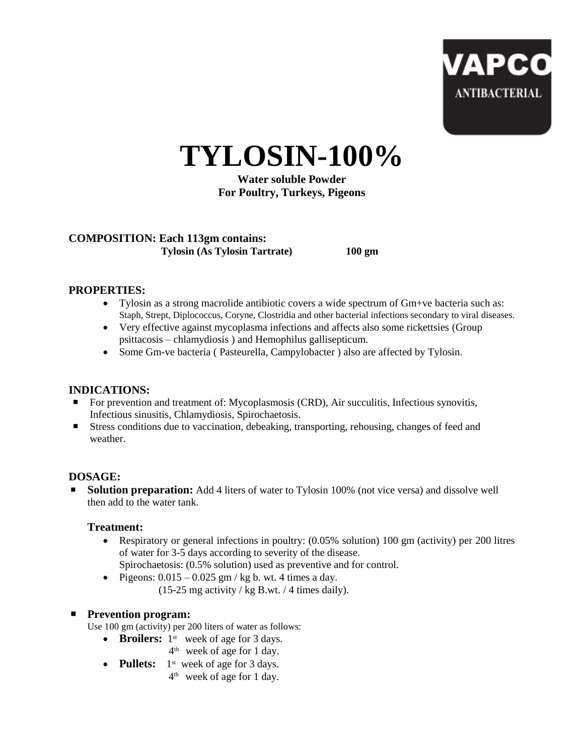

**TYLOSIN-100%**

**Water soluble Powder For Poultry, Turkeys, Pigeons**

# **COMPOSITION: Each 113gm contains: Tylosin (As Tylosin Tartrate) 100 gm**

## **PROPERTIES:**

- Tylosin as a strong macrolide antibiotic covers a wide spectrum of Gm+ve bacteria such as: Staph, Strept, Diplococcus, Coryne, Clostridia and other bacterial infections secondary to viral diseases.
- Very effective against mycoplasma infections and affects also some rickettsies (Group psittacosis – chlamydiosis ) and Hemophilus gallisepticum.
- Some Gm-ve bacteria ( Pasteurella, Campylobacter ) also are affected by Tylosin.

### **INDICATIONS:**

- For prevention and treatment of: Mycoplasmosis (CRD), Air succulitis, Infectious synovitis, Infectious sinusitis, Chlamydiosis, Spirochaetosis.
- Stress conditions due to vaccination, debeaking, transporting, rehousing, changes of feed and weather.

### **DOSAGE:**

**Solution preparation:** Add 4 liters of water to Tylosin 100% (not vice versa) and dissolve well then add to the water tank.

### **Treatment:**

- Respiratory or general infections in poultry: (0.05% solution) 100 gm (activity) per 200 litres of water for 3-5 days according to severity of the disease.
	- Spirochaetosis: (0.5% solution) used as preventive and for control.
- Pigeons:  $0.015 0.025$  gm / kg b. wt. 4 times a day.
	- (15-25 mg activity / kg B.wt. / 4 times daily).

### **Prevention program:**

- Use 100 gm (activity) per 200 liters of water as follows:
	- Broilers: 1<sup>st</sup> week of age for 3 days.
		- 4 th week of age for 1 day.
	- Pullets: 1<sup>st</sup> week of age for 3 days.
	- 4 <sup>th</sup> week of age for 1 day.